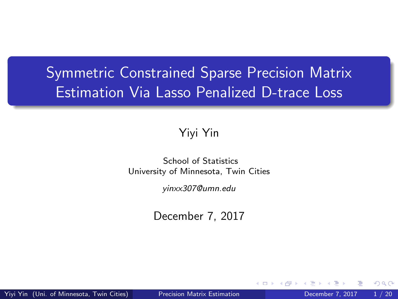# <span id="page-0-0"></span>Symmetric Constrained Sparse Precision Matrix Estimation Via Lasso Penalized D-trace Loss

#### Yiyi Yin

#### School of Statistics University of Minnesota, Twin Cities

yinxx307@umn.edu

December 7, 2017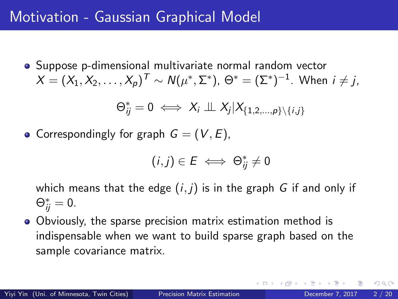## Motivation - Gaussian Graphical Model

Suppose p-dimensional multivariate normal random vector  $X=(X_1,X_2,\ldots,X_p)^{\sf \,T} \sim {\sf N}(\mu^*,\Sigma^*),\,\Theta^*= (\Sigma^*)^{-1}.$  When  $i\neq j,$ 

$$
\Theta_{ij}^* = 0 \iff X_i \perp \!\!\! \perp X_j | X_{\{1,2,\ldots,p\} \setminus \{i,j\}}
$$

• Correspondingly for graph  $G = (V, E)$ ,

$$
(i,j)\in E\iff \Theta^*_{ij}\neq 0
$$

which means that the edge  $(i, j)$  is in the graph G if and only if  $\Theta_{ij}^* = 0.$ 

Obviously, the sparse precision matrix estimation method is indispensable when we want to build sparse graph based on the sample covariance matrix.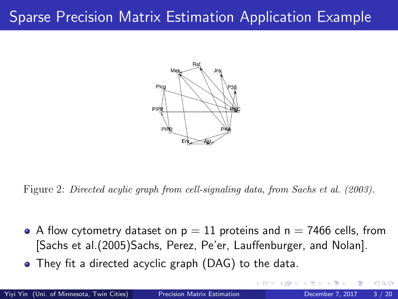# Sparse Precision Matrix Estimation Application Example



Figure 2: Directed acylic graph from cell-signaling data, from Sachs et al. (2003).

- A flow cytometry dataset on  $p = 11$  proteins and  $n = 7466$  cells, from [\[Sachs et al.\(2005\)Sachs, Perez, Pe'er, Lauffenburger, and Nolan\]](#page-18-0).
- They fit a directed acyclic graph (DAG) to the data.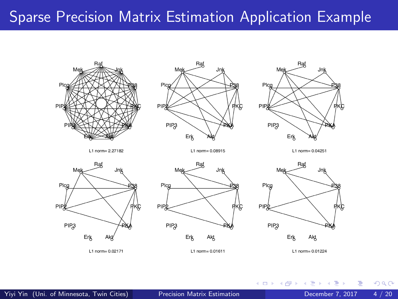## Sparse Precision Matrix Estimation Application Example



L1 norm= 0.01224

4 D F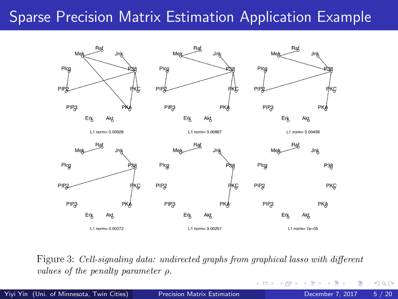# Sparse Precision Matrix Estimation Application Example



Figure 3: Cell-signaling data: undirected graphs from graphical lasso with different values of the penalty parameter  $\rho$ .

4 D F

Yiyi Yin (Uni. of Minnesota, Twin Cities) [Precision Matrix Estimation](#page-0-0) December 7, 2017 5 / 20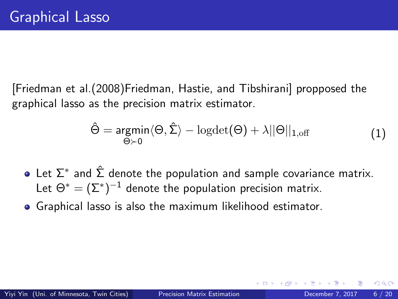[\[Friedman et al.\(2008\)Friedman, Hastie, and Tibshirani\]](#page-18-1) propposed the graphical lasso as the precision matrix estimator.

$$
\hat{\Theta} = \underset{\Theta \succ 0}{\text{argmin}} \langle \Theta, \hat{\Sigma} \rangle - \text{logdet}(\Theta) + \lambda ||\Theta||_{1, \text{off}} \tag{1}
$$

- Let  $\Sigma^*$  and  $\hat{\Sigma}$  denote the population and sample covariance matrix. Let  $\Theta^* = (\Sigma^*)^{-1}$  denote the population precision matrix.
- Graphical lasso is also the maximum likelihood estimator.

つひひ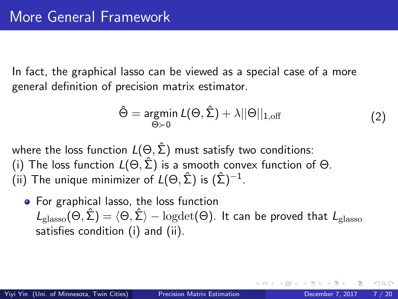In fact, the graphical lasso can be viewed as a special case of a more general definition of precision matrix estimator.

$$
\hat{\Theta} = \underset{\Theta \succ 0}{\text{argmin}} \ L(\Theta, \hat{\Sigma}) + \lambda ||\Theta||_{1, \text{off}} \tag{2}
$$

where the loss function  $L(\Theta, \hat{\Sigma})$  must satisfy two conditions: (i) The loss function  $L(\Theta, \hat{\Sigma})$  is a smooth convex function of  $\Theta$ . (ii) The unique minimizer of  $L(\Theta, \hat{\Sigma})$  is  $(\hat{\Sigma})^{-1}$ .

• For graphical lasso, the loss function  $L_{\text{glasso}}(\Theta, \hat{\Sigma}) = \langle \Theta, \hat{\Sigma} \rangle - \text{logdet}(\Theta)$ . It can be proved that  $L_{\text{glasso}}$ satisfies condition (i) and (ii).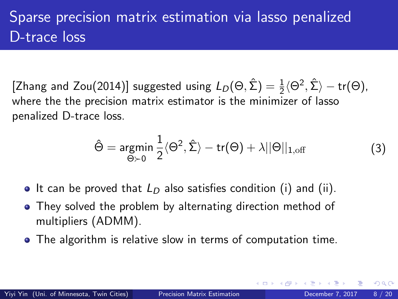# Sparse precision matrix estimation via lasso penalized D-trace loss

[\[Zhang and Zou\(2014\)\]](#page-18-2) suggested using  $L_D(\Theta, \hat{\Sigma}) = \frac{1}{2} \langle \Theta^2, \hat{\Sigma} \rangle - \text{tr}(\Theta)$ , where the the precision matrix estimator is the minimizer of lasso penalized D-trace loss.

$$
\hat{\Theta} = \underset{\Theta \succ 0}{\text{argmin}} \frac{1}{2} \langle \Theta^2, \hat{\Sigma} \rangle - \text{tr}(\Theta) + \lambda ||\Theta||_{1, \text{off}}
$$
(3)

- It can be proved that  $L_D$  also satisfies condition (i) and (ii).
- They solved the problem by alternating direction method of multipliers (ADMM).
- The algorithm is relative slow in terms of computation time.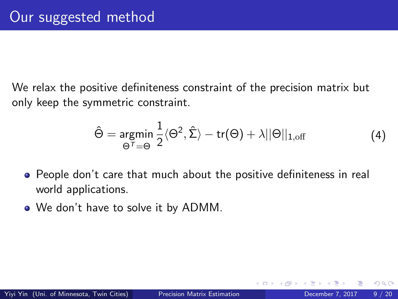We relax the positive definiteness constraint of the precision matrix but only keep the symmetric constraint.

$$
\hat{\Theta} = \underset{\Theta^T = \Theta}{\text{argmin}} \frac{1}{2} \langle \Theta^2, \hat{\Sigma} \rangle - \text{tr}(\Theta) + \lambda ||\Theta||_{1, \text{off}} \tag{4}
$$

- People don't care that much about the positive definiteness in real world applications.
- We don't have to solve it by ADMM.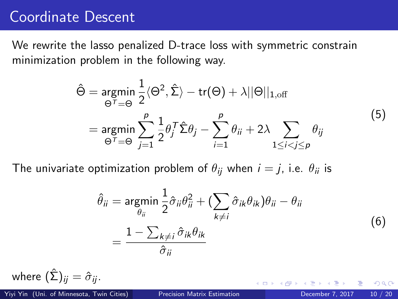### Coordinate Descent

We rewrite the lasso penalized D-trace loss with symmetric constrain minimization problem in the following way.

$$
\hat{\Theta} = \underset{\Theta^T = \Theta}{\text{argmin}} \frac{1}{2} \langle \Theta^2, \hat{\Sigma} \rangle - \text{tr}(\Theta) + \lambda ||\Theta||_{1, \text{off}}
$$
\n
$$
= \underset{\Theta^T = \Theta}{\text{argmin}} \sum_{j=1}^p \frac{1}{2} \theta_j^T \hat{\Sigma} \theta_j - \sum_{i=1}^p \theta_{ii} + 2\lambda \sum_{1 \le i < j \le p} \theta_{ij} \tag{5}
$$

The univariate optimization problem of  $\theta_{ii}$  when  $i = j$ , i.e.  $\theta_{ii}$  is

$$
\hat{\theta}_{ii} = \underset{\theta_{ii}}{\text{argmin}} \frac{1}{2} \hat{\sigma}_{ii} \theta_{ii}^2 + \left(\sum_{k \neq i} \hat{\sigma}_{ik} \theta_{ik}\right) \theta_{ii} - \theta_{ii}
$$
\n
$$
= \frac{1 - \sum_{k \neq i} \hat{\sigma}_{ik} \theta_{ik}}{\hat{\sigma}_{ii}}
$$
\n(6)

where  $(\hat{\Sigma})_{ij} = \hat{\sigma}_{ij}$ .

Yiyi Yin (Uni. of Minnesota, Twin Cities) [Precision Matrix Estimation](#page-0-0) December 7, 2017 10 / 20

つひひ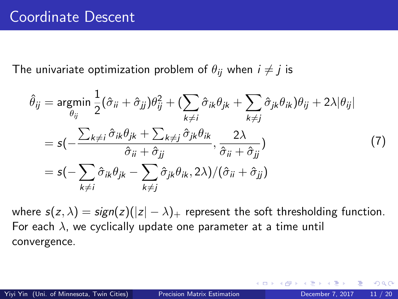The univariate optimization problem of  $\theta_{ii}$  when  $i \neq j$  is

$$
\hat{\theta}_{ij} = \underset{\theta_{ij}}{\text{argmin}} \frac{1}{2} (\hat{\sigma}_{ii} + \hat{\sigma}_{jj}) \theta_{ij}^{2} + (\sum_{k \neq i} \hat{\sigma}_{ik} \theta_{jk} + \sum_{k \neq j} \hat{\sigma}_{jk} \theta_{ik}) \theta_{ij} + 2\lambda |\theta_{ij}|
$$
\n
$$
= s(-\frac{\sum_{k \neq i} \hat{\sigma}_{ik} \theta_{jk} + \sum_{k \neq j} \hat{\sigma}_{jk} \theta_{ik}}{\hat{\sigma}_{ii} + \hat{\sigma}_{jj}}, \frac{2\lambda}{\hat{\sigma}_{ii} + \hat{\sigma}_{jj}})
$$
\n
$$
= s(-\sum_{k \neq i} \hat{\sigma}_{ik} \theta_{jk} - \sum_{k \neq j} \hat{\sigma}_{jk} \theta_{ik}, 2\lambda) / (\hat{\sigma}_{ii} + \hat{\sigma}_{jj})
$$
\n(7)

where  $s(z, \lambda) = sign(z)(|z| - \lambda)$  represent the soft thresholding function. For each  $\lambda$ , we cyclically update one parameter at a time until convergence.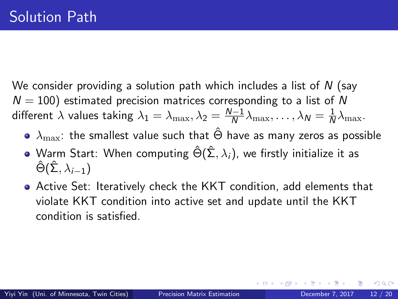We consider providing a solution path which includes a list of  $N$  (say  $N = 100$ ) estimated precision matrices corresponding to a list of N different  $\lambda$  values taking  $\lambda_1=\lambda_{\max}, \lambda_2=\frac{N-1}{N}$  $\frac{N-1}{N}\lambda_{\max},\ldots,\lambda_N=\frac{1}{N}$  $\frac{1}{N}\lambda_{\max}$ .

- $\bullet$   $\lambda_{\text{max}}$ : the smallest value such that  $\hat{\Theta}$  have as many zeros as possible
- Warm Start: When computing  $\hat{\Theta}(\hat{\Sigma}, \lambda_i)$ , we firstly initialize it as  $\hat{\Theta}(\hat{\Sigma}, \lambda_{i-1})$
- Active Set: Iteratively check the KKT condition, add elements that violate KKT condition into active set and update until the KKT condition is satisfied.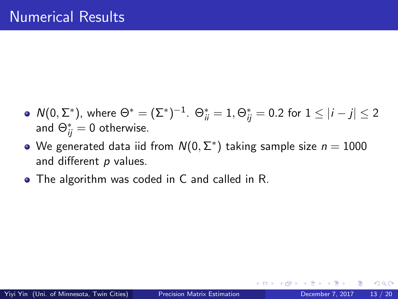- $\mathsf{N}(0,\Sigma^*)$ , where  $\Theta^*=(\Sigma^*)^{-1}.$   $\Theta^*_{ii}=1, \Theta^*_{ij}=0.2$  for  $1\leq |i-j|\leq 2$ and  $\Theta_{ij}^* = 0$  otherwise.
- We generated data iid from  $\mathcal{N}(0,\Sigma^*)$  taking sample size  $n=1000$ and different p values.
- The algorithm was coded in C and called in R.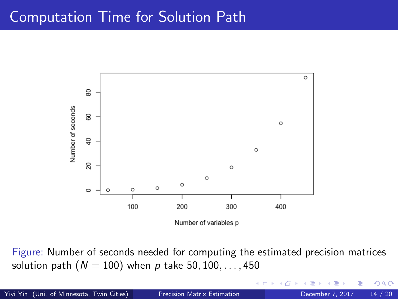### Computation Time for Solution Path



Figure: Number of seconds needed for computing the estimated precision matrices solution path ( $N = 100$ ) when p take 50, 100, ..., 450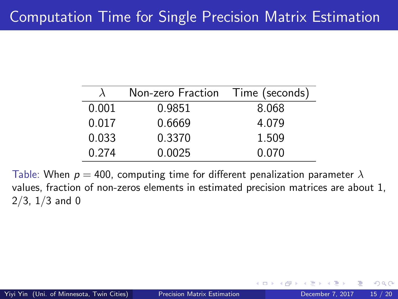|       | Non-zero Fraction Time (seconds) |       |  |  |
|-------|----------------------------------|-------|--|--|
| 0.001 | 0.9851                           | 8.068 |  |  |
| 0.017 | 0.6669                           | 4.079 |  |  |
| 0.033 | 0.3370                           | 1.509 |  |  |
| 0.274 | 0.0025                           | 0.070 |  |  |

Table: When  $p = 400$ , computing time for different penalization parameter  $\lambda$ values, fraction of non-zeros elements in estimated precision matrices are about 1,  $2/3$ ,  $1/3$  and 0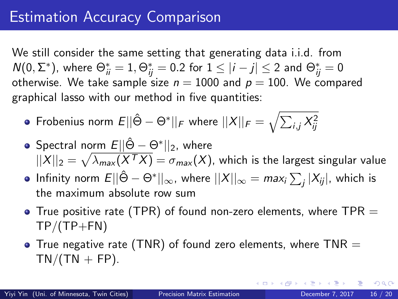# Estimation Accuracy Comparison

We still consider the same setting that generating data i.i.d. from  $\mathcal{N}(0,\Sigma^*)$ , where  $\Theta^*_{\vec{i}\vec{i}}=1, \Theta^*_{\vec{i}\vec{j}}=0.2$  for  $1\leq |i-j|\leq 2$  and  $\Theta^*_{\vec{i}\vec{j}}=0$ otherwise. We take sample size  $n = 1000$  and  $p = 100$ . We compared graphical lasso with our method in five quantities:

- Frobenius norm  $E||\hat{\Theta} \Theta^*||_F$  where  $||X||_F = \sqrt{\sum_{i,j} X_{ij}^2}$
- <code>Spectral</code> norm  $E||\hat{\Theta} \Theta^*||_2$ , where  $||X||_2 = \sqrt{\lambda_{\sf max}(X^{\sf T}X)} = \sigma_{\sf max}(X)$ , which is the largest singular value
- Infinity norm  $E||\hat{\Theta}-\Theta^*||_{\infty}$ , where  $||X||_{\infty}=$   $max_{i}\sum_{j}|X_{ij}|$ , which is the maximum absolute row sum
- $\bullet$  True positive rate (TPR) of found non-zero elements, where TPR  $=$  $TP/(TP+FN)$
- True negative rate (TNR) of found zero elements, where  $TNR =$  $TN/(TN + FP)$ .

 $QQ$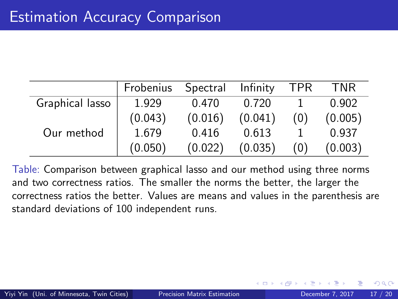|                 | Frobenius | Spectral | Infinity | <b>TPR</b> | <b>TNR</b> |
|-----------------|-----------|----------|----------|------------|------------|
| Graphical lasso | 1.929     | 0.470    | 0.720    |            | 0.902      |
|                 | (0.043)   | (0.016)  | (0.041)  | (0)        | (0.005)    |
| Our method      | 1.679     | 0.416    | 0.613    |            | 0.937      |
|                 | (0.050)   | (0.022)  | (0.035)  | (0)        | (0.003)    |

Table: Comparison between graphical lasso and our method using three norms and two correctness ratios. The smaller the norms the better, the larger the correctness ratios the better. Values are means and values in the parenthesis are standard deviations of 100 independent runs.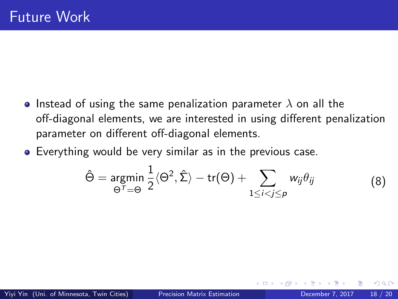- Instead of using the same penalization parameter  $\lambda$  on all the off-diagonal elements, we are interested in using different penalization parameter on different off-diagonal elements.
- Everything would be very similar as in the previous case.

$$
\hat{\Theta} = \underset{\Theta^T = \Theta}{\text{argmin}} \frac{1}{2} \langle \Theta^2, \hat{\Sigma} \rangle - \text{tr}(\Theta) + \sum_{1 \leq i < j \leq p} w_{ij} \theta_{ij} \tag{8}
$$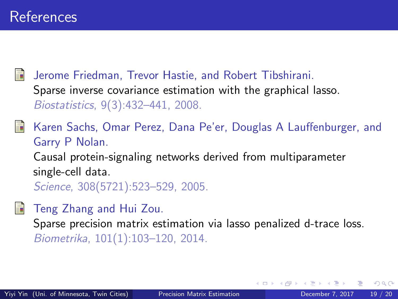<span id="page-18-1"></span>Jerome Friedman, Trevor Hastie, and Robert Tibshirani. Sparse inverse covariance estimation with the graphical lasso. Biostatistics, 9(3):432–441, 2008.

<span id="page-18-0"></span>Karen Sachs, Omar Perez, Dana Pe'er, Douglas A Lauffenburger, and Garry P Nolan. Causal protein-signaling networks derived from multiparameter single-cell data. Science, 308(5721):523–529, 2005.

#### <span id="page-18-2"></span>Teng Zhang and Hui Zou.

Sparse precision matrix estimation via lasso penalized d-trace loss. Biometrika, 101(1):103–120, 2014.